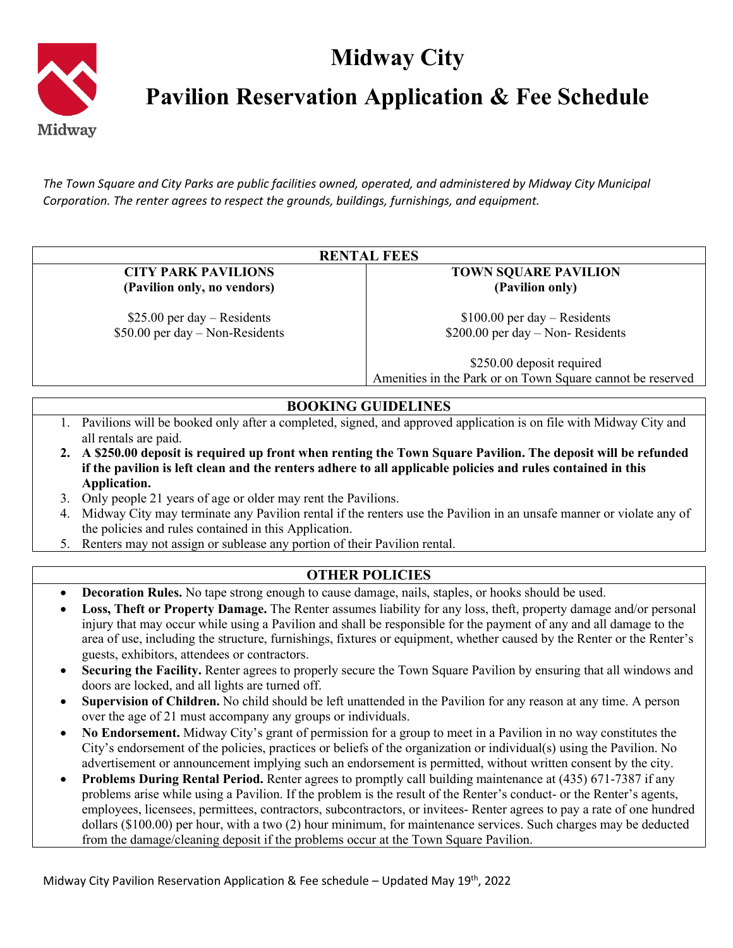## **Midway City**



**Pavilion Reservation Application & Fee Schedule**

*The Town Square and City Parks are public facilities owned, operated, and administered by Midway City Municipal Corporation. The renter agrees to respect the grounds, buildings, furnishings, and equipment.*

|                                                                                                                       |                                                                                                                      | <b>RENTAL FEES</b>                                                                                                     |  |  |
|-----------------------------------------------------------------------------------------------------------------------|----------------------------------------------------------------------------------------------------------------------|------------------------------------------------------------------------------------------------------------------------|--|--|
| <b>CITY PARK PAVILIONS</b>                                                                                            |                                                                                                                      | <b>TOWN SQUARE PAVILION</b>                                                                                            |  |  |
|                                                                                                                       | (Pavilion only, no vendors)                                                                                          | (Pavilion only)                                                                                                        |  |  |
|                                                                                                                       | $$25.00$ per day – Residents                                                                                         | $$100.00$ per day – Residents                                                                                          |  |  |
|                                                                                                                       | $$50.00$ per day – Non-Residents                                                                                     | $$200.00$ per day – Non-Residents                                                                                      |  |  |
|                                                                                                                       |                                                                                                                      | \$250.00 deposit required                                                                                              |  |  |
|                                                                                                                       |                                                                                                                      | Amenities in the Park or on Town Square cannot be reserved                                                             |  |  |
|                                                                                                                       |                                                                                                                      | <b>BOOKING GUIDELINES</b>                                                                                              |  |  |
|                                                                                                                       | 1. Pavilions will be booked only after a completed, signed, and approved application is on file with Midway City and |                                                                                                                        |  |  |
|                                                                                                                       | all rentals are paid.                                                                                                |                                                                                                                        |  |  |
| 2. A \$250.00 deposit is required up front when renting the Town Square Pavilion. The deposit will be refunded        |                                                                                                                      |                                                                                                                        |  |  |
| if the pavilion is left clean and the renters adhere to all applicable policies and rules contained in this           |                                                                                                                      |                                                                                                                        |  |  |
|                                                                                                                       | Application.                                                                                                         |                                                                                                                        |  |  |
| 3.                                                                                                                    | Only people 21 years of age or older may rent the Pavilions.                                                         |                                                                                                                        |  |  |
| 4.                                                                                                                    | Midway City may terminate any Pavilion rental if the renters use the Pavilion in an unsafe manner or violate any of  |                                                                                                                        |  |  |
|                                                                                                                       | the policies and rules contained in this Application.                                                                |                                                                                                                        |  |  |
| 5.                                                                                                                    | Renters may not assign or sublease any portion of their Pavilion rental.                                             |                                                                                                                        |  |  |
|                                                                                                                       |                                                                                                                      | <b>OTHER POLICIES</b>                                                                                                  |  |  |
| <b>Decoration Rules.</b> No tape strong enough to cause damage, nails, staples, or hooks should be used.<br>$\bullet$ |                                                                                                                      |                                                                                                                        |  |  |
| $\bullet$                                                                                                             | Loss, Theft or Property Damage. The Renter assumes liability for any loss, theft, property damage and/or personal    |                                                                                                                        |  |  |
|                                                                                                                       | injury that may occur while using a Pavilion and shall be responsible for the payment of any and all damage to the   |                                                                                                                        |  |  |
|                                                                                                                       |                                                                                                                      | area of use, including the structure, furnishings, fixtures or equipment, whether caused by the Renter or the Renter's |  |  |
|                                                                                                                       | guests, exhibitors, attendees or contractors.                                                                        |                                                                                                                        |  |  |
| $\bullet$                                                                                                             | Securing the Facility. Renter agrees to properly secure the Town Square Pavilion by ensuring that all windows and    |                                                                                                                        |  |  |
|                                                                                                                       | doors are locked, and all lights are turned off.                                                                     |                                                                                                                        |  |  |
| $\bullet$                                                                                                             |                                                                                                                      | Supervision of Children. No child should be left unattended in the Pavilion for any reason at any time. A person       |  |  |
|                                                                                                                       | over the age of 21 must accompany any groups or individuals.                                                         |                                                                                                                        |  |  |
|                                                                                                                       | No Endorsement. Midway City's grant of permission for a group to meet in a Pavilion in no way constitutes the        |                                                                                                                        |  |  |

• **No Endorsement.** Midway City's grant of permission for a group to meet in a Pavilion in no way constitutes the City's endorsement of the policies, practices or beliefs of the organization or individual(s) using the Pavilion. No advertisement or announcement implying such an endorsement is permitted, without written consent by the city.

• **Problems During Rental Period.** Renter agrees to promptly call building maintenance at (435) 671-7387 if any problems arise while using a Pavilion. If the problem is the result of the Renter's conduct- or the Renter's agents, employees, licensees, permittees, contractors, subcontractors, or invitees- Renter agrees to pay a rate of one hundred dollars (\$100.00) per hour, with a two (2) hour minimum, for maintenance services. Such charges may be deducted from the damage/cleaning deposit if the problems occur at the Town Square Pavilion.